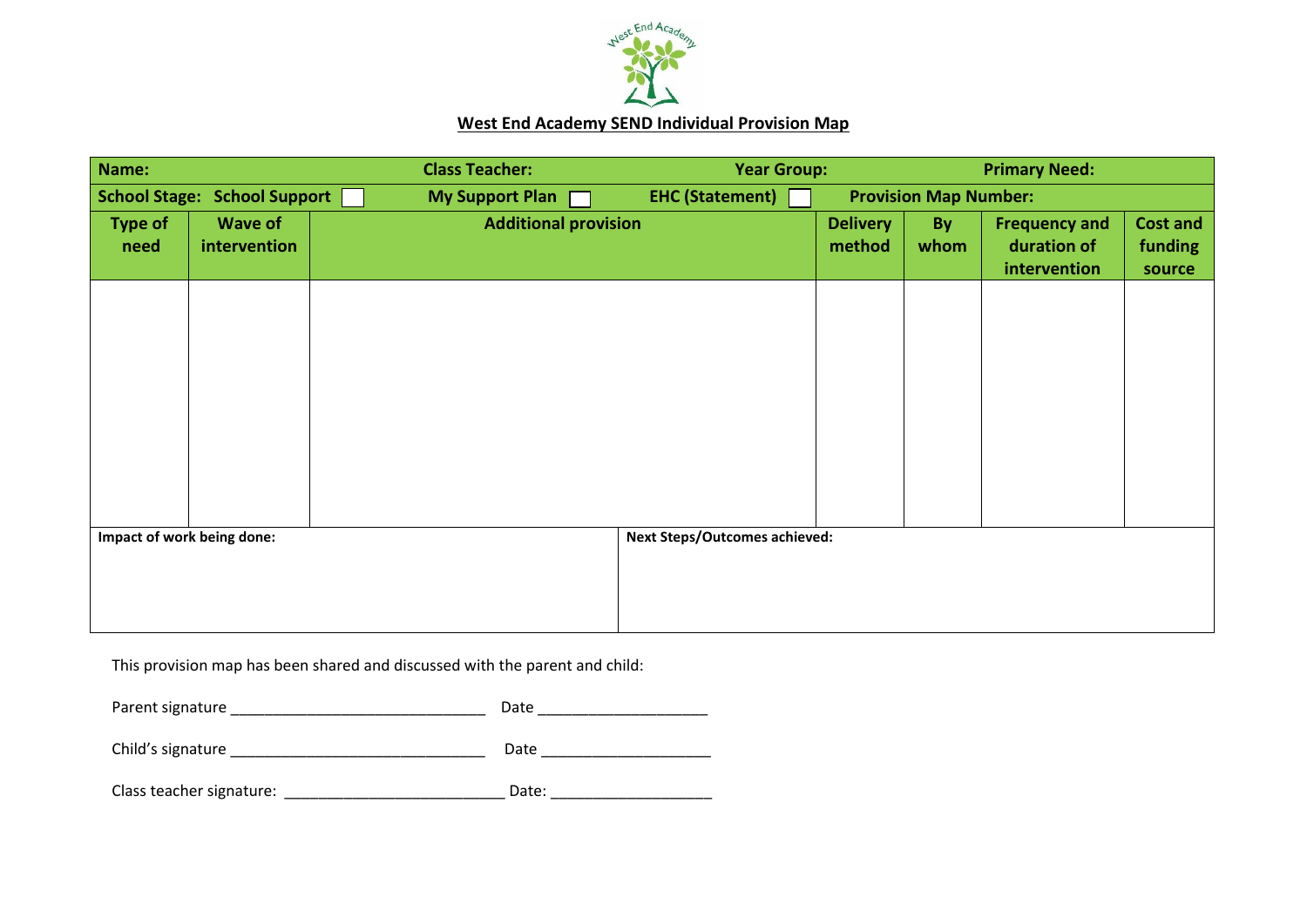

## **West End Academy SEND Individual Provision Map**

| Name:                               |                | <b>Class Teacher:</b>                | <b>Year Group:</b>     |                 |                              | <b>Primary Need:</b> |                 |
|-------------------------------------|----------------|--------------------------------------|------------------------|-----------------|------------------------------|----------------------|-----------------|
| <b>School Stage: School Support</b> |                | My Support Plan [                    | <b>EHC (Statement)</b> |                 | <b>Provision Map Number:</b> |                      |                 |
| <b>Type of</b>                      | <b>Wave of</b> | <b>Additional provision</b>          |                        | <b>Delivery</b> | <b>By</b>                    | <b>Frequency and</b> | <b>Cost and</b> |
| need                                | intervention   |                                      |                        | method          | whom                         | duration of          | funding         |
|                                     |                |                                      |                        |                 |                              | intervention         | source          |
|                                     |                |                                      |                        |                 |                              |                      |                 |
|                                     |                |                                      |                        |                 |                              |                      |                 |
|                                     |                |                                      |                        |                 |                              |                      |                 |
|                                     |                |                                      |                        |                 |                              |                      |                 |
|                                     |                |                                      |                        |                 |                              |                      |                 |
|                                     |                |                                      |                        |                 |                              |                      |                 |
|                                     |                |                                      |                        |                 |                              |                      |                 |
|                                     |                |                                      |                        |                 |                              |                      |                 |
|                                     |                |                                      |                        |                 |                              |                      |                 |
|                                     |                |                                      |                        |                 |                              |                      |                 |
|                                     |                |                                      |                        |                 |                              |                      |                 |
| Impact of work being done:          |                | <b>Next Steps/Outcomes achieved:</b> |                        |                 |                              |                      |                 |
|                                     |                |                                      |                        |                 |                              |                      |                 |
|                                     |                |                                      |                        |                 |                              |                      |                 |
|                                     |                |                                      |                        |                 |                              |                      |                 |

This provision map has been shared and discussed with the parent and child:

| Parent signature         | Date  |  |
|--------------------------|-------|--|
| Child's signature        | Date  |  |
| Class teacher signature: | Date: |  |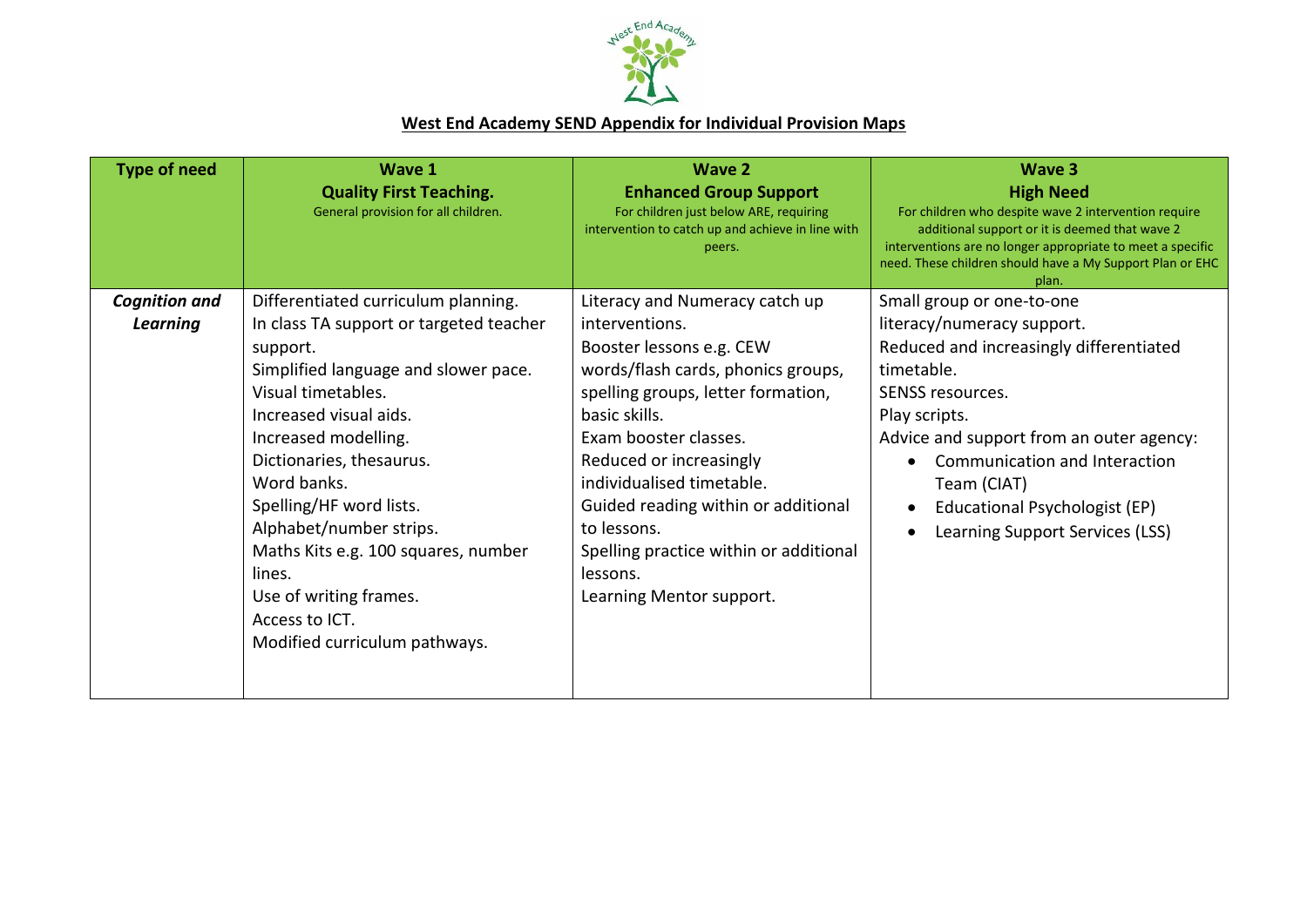

## **West End Academy SEND Appendix for Individual Provision Maps**

| <b>Type of need</b>                     | Wave 1<br><b>Quality First Teaching.</b><br>General provision for all children.                                                                                                                                                                                                                                                                                                                                                           | <b>Wave 2</b><br><b>Enhanced Group Support</b><br>For children just below ARE, requiring<br>intervention to catch up and achieve in line with<br>peers.                                                                                                                                                                                                                                            | Wave 3<br><b>High Need</b><br>For children who despite wave 2 intervention require<br>additional support or it is deemed that wave 2<br>interventions are no longer appropriate to meet a specific<br>need. These children should have a My Support Plan or EHC<br>plan.                                              |
|-----------------------------------------|-------------------------------------------------------------------------------------------------------------------------------------------------------------------------------------------------------------------------------------------------------------------------------------------------------------------------------------------------------------------------------------------------------------------------------------------|----------------------------------------------------------------------------------------------------------------------------------------------------------------------------------------------------------------------------------------------------------------------------------------------------------------------------------------------------------------------------------------------------|-----------------------------------------------------------------------------------------------------------------------------------------------------------------------------------------------------------------------------------------------------------------------------------------------------------------------|
| <b>Cognition and</b><br><b>Learning</b> | Differentiated curriculum planning.<br>In class TA support or targeted teacher<br>support.<br>Simplified language and slower pace.<br>Visual timetables.<br>Increased visual aids.<br>Increased modelling.<br>Dictionaries, thesaurus.<br>Word banks.<br>Spelling/HF word lists.<br>Alphabet/number strips.<br>Maths Kits e.g. 100 squares, number<br>lines.<br>Use of writing frames.<br>Access to ICT.<br>Modified curriculum pathways. | Literacy and Numeracy catch up<br>interventions.<br>Booster lessons e.g. CEW<br>words/flash cards, phonics groups,<br>spelling groups, letter formation,<br>basic skills.<br>Exam booster classes.<br>Reduced or increasingly<br>individualised timetable.<br>Guided reading within or additional<br>to lessons.<br>Spelling practice within or additional<br>lessons.<br>Learning Mentor support. | Small group or one-to-one<br>literacy/numeracy support.<br>Reduced and increasingly differentiated<br>timetable.<br>SENSS resources.<br>Play scripts.<br>Advice and support from an outer agency:<br>Communication and Interaction<br>Team (CIAT)<br>Educational Psychologist (EP)<br>Learning Support Services (LSS) |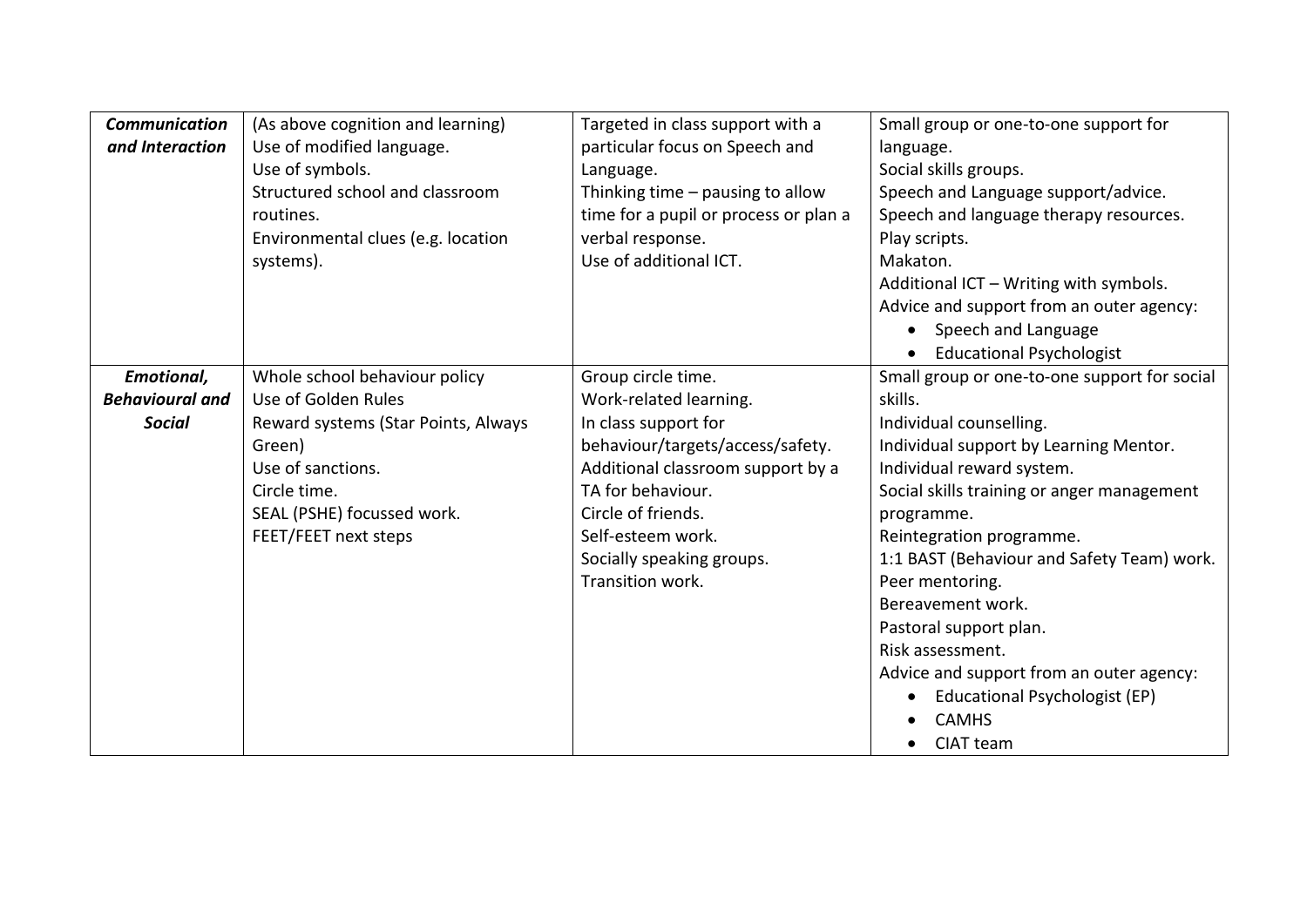| <b>Communication</b><br>and Interaction | (As above cognition and learning)<br>Use of modified language.<br>Use of symbols.<br>Structured school and classroom<br>routines.<br>Environmental clues (e.g. location<br>systems). | Targeted in class support with a<br>particular focus on Speech and<br>Language.<br>Thinking time - pausing to allow<br>time for a pupil or process or plan a<br>verbal response.<br>Use of additional ICT. | Small group or one-to-one support for<br>language.<br>Social skills groups.<br>Speech and Language support/advice.<br>Speech and language therapy resources.<br>Play scripts.<br>Makaton.<br>Additional ICT - Writing with symbols.<br>Advice and support from an outer agency:<br>• Speech and Language<br><b>Educational Psychologist</b> |
|-----------------------------------------|--------------------------------------------------------------------------------------------------------------------------------------------------------------------------------------|------------------------------------------------------------------------------------------------------------------------------------------------------------------------------------------------------------|---------------------------------------------------------------------------------------------------------------------------------------------------------------------------------------------------------------------------------------------------------------------------------------------------------------------------------------------|
| Emotional,                              | Whole school behaviour policy                                                                                                                                                        | Group circle time.                                                                                                                                                                                         | Small group or one-to-one support for social                                                                                                                                                                                                                                                                                                |
| <b>Behavioural and</b>                  | Use of Golden Rules                                                                                                                                                                  | Work-related learning.                                                                                                                                                                                     | skills.                                                                                                                                                                                                                                                                                                                                     |
| <b>Social</b>                           | Reward systems (Star Points, Always                                                                                                                                                  | In class support for                                                                                                                                                                                       | Individual counselling.                                                                                                                                                                                                                                                                                                                     |
|                                         | Green)                                                                                                                                                                               | behaviour/targets/access/safety.                                                                                                                                                                           | Individual support by Learning Mentor.                                                                                                                                                                                                                                                                                                      |
|                                         | Use of sanctions.                                                                                                                                                                    | Additional classroom support by a                                                                                                                                                                          | Individual reward system.                                                                                                                                                                                                                                                                                                                   |
|                                         | Circle time.                                                                                                                                                                         | TA for behaviour.                                                                                                                                                                                          | Social skills training or anger management                                                                                                                                                                                                                                                                                                  |
|                                         | SEAL (PSHE) focussed work.                                                                                                                                                           | Circle of friends.                                                                                                                                                                                         | programme.                                                                                                                                                                                                                                                                                                                                  |
|                                         | FEET/FEET next steps                                                                                                                                                                 | Self-esteem work.                                                                                                                                                                                          | Reintegration programme.                                                                                                                                                                                                                                                                                                                    |
|                                         |                                                                                                                                                                                      | Socially speaking groups.                                                                                                                                                                                  | 1:1 BAST (Behaviour and Safety Team) work.                                                                                                                                                                                                                                                                                                  |
|                                         |                                                                                                                                                                                      | Transition work.                                                                                                                                                                                           | Peer mentoring.                                                                                                                                                                                                                                                                                                                             |
|                                         |                                                                                                                                                                                      |                                                                                                                                                                                                            | Bereavement work.                                                                                                                                                                                                                                                                                                                           |
|                                         |                                                                                                                                                                                      |                                                                                                                                                                                                            | Pastoral support plan.                                                                                                                                                                                                                                                                                                                      |
|                                         |                                                                                                                                                                                      |                                                                                                                                                                                                            | Risk assessment.                                                                                                                                                                                                                                                                                                                            |
|                                         |                                                                                                                                                                                      |                                                                                                                                                                                                            | Advice and support from an outer agency:                                                                                                                                                                                                                                                                                                    |
|                                         |                                                                                                                                                                                      |                                                                                                                                                                                                            | Educational Psychologist (EP)                                                                                                                                                                                                                                                                                                               |
|                                         |                                                                                                                                                                                      |                                                                                                                                                                                                            | <b>CAMHS</b>                                                                                                                                                                                                                                                                                                                                |
|                                         |                                                                                                                                                                                      |                                                                                                                                                                                                            | CIAT team                                                                                                                                                                                                                                                                                                                                   |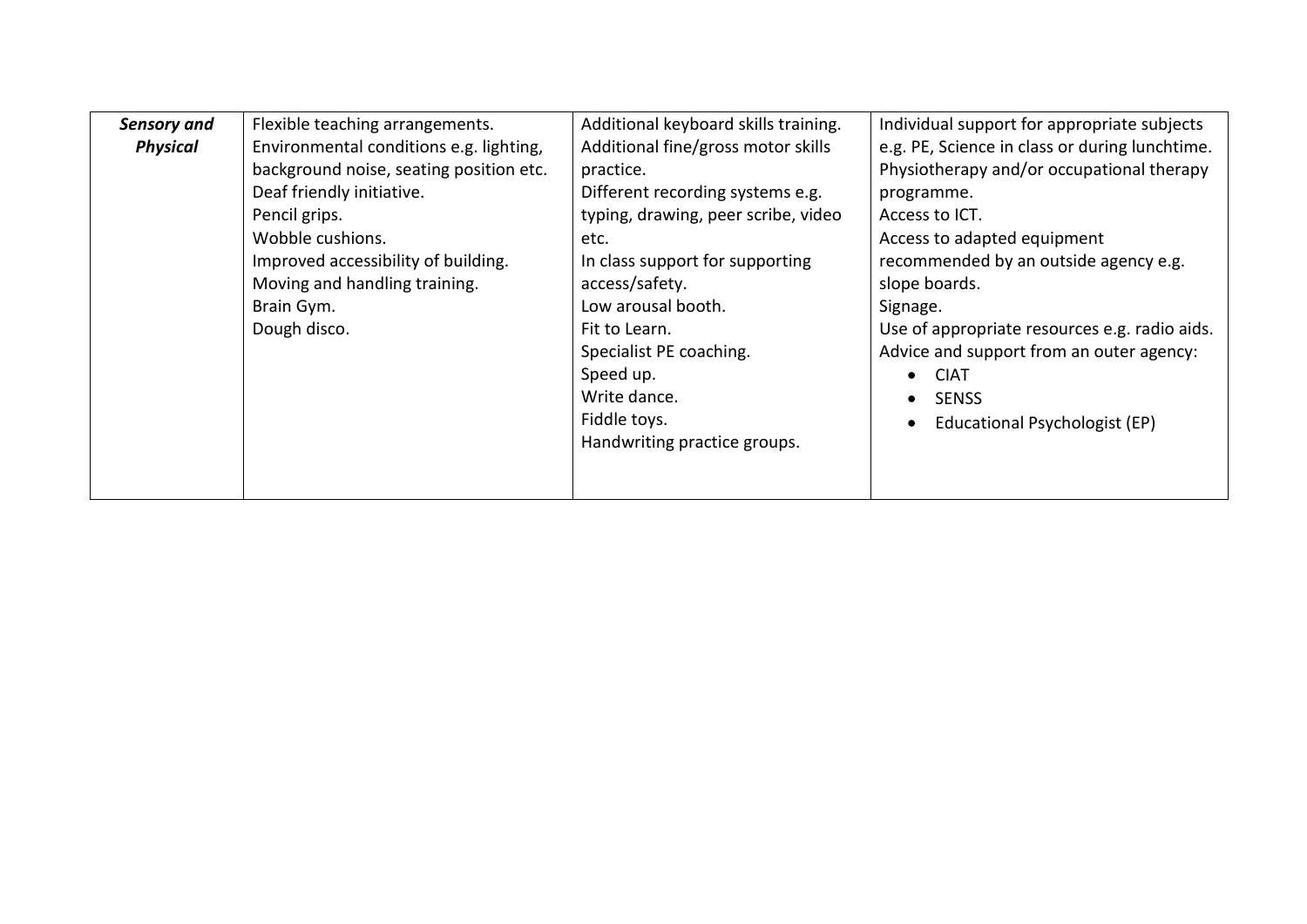| <b>Sensory and</b> | Flexible teaching arrangements.         | Additional keyboard skills training. | Individual support for appropriate subjects    |  |
|--------------------|-----------------------------------------|--------------------------------------|------------------------------------------------|--|
| <b>Physical</b>    | Environmental conditions e.g. lighting, | Additional fine/gross motor skills   | e.g. PE, Science in class or during lunchtime. |  |
|                    | background noise, seating position etc. | practice.                            | Physiotherapy and/or occupational therapy      |  |
|                    | Deaf friendly initiative.               | Different recording systems e.g.     | programme.                                     |  |
|                    | Pencil grips.                           | typing, drawing, peer scribe, video  | Access to ICT.                                 |  |
|                    | Wobble cushions.                        | etc.                                 | Access to adapted equipment                    |  |
|                    | Improved accessibility of building.     | In class support for supporting      | recommended by an outside agency e.g.          |  |
|                    | Moving and handling training.           | access/safety.                       | slope boards.                                  |  |
|                    | Brain Gym.                              | Low arousal booth.                   | Signage.                                       |  |
|                    | Dough disco.                            | Fit to Learn.                        | Use of appropriate resources e.g. radio aids.  |  |
|                    |                                         | Specialist PE coaching.              | Advice and support from an outer agency:       |  |
|                    |                                         | Speed up.                            | <b>CIAT</b>                                    |  |
|                    |                                         | Write dance.                         | <b>SENSS</b>                                   |  |
|                    |                                         | Fiddle toys.                         | Educational Psychologist (EP)                  |  |
|                    |                                         | Handwriting practice groups.         |                                                |  |
|                    |                                         |                                      |                                                |  |
|                    |                                         |                                      |                                                |  |